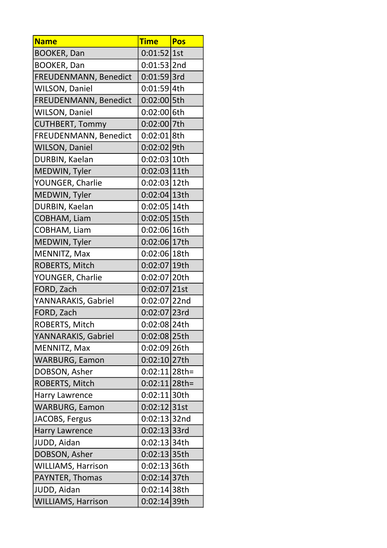| <b>Name</b>               | <b>Time</b>      | Pos |
|---------------------------|------------------|-----|
| <b>BOOKER, Dan</b>        | $0:01:52$ 1st    |     |
| <b>BOOKER, Dan</b>        | $0:01:53$  2nd   |     |
| FREUDENMANN, Benedict     | $0:01:59$ 3rd    |     |
| <b>WILSON, Daniel</b>     | 0:01:59 4th      |     |
| FREUDENMANN, Benedict     | 0:02:00 5th      |     |
| <b>WILSON, Daniel</b>     | 0:02:00 6th      |     |
| <b>CUTHBERT, Tommy</b>    | 0:02:00 7th      |     |
| FREUDENMANN, Benedict     | 0:02:01 8th      |     |
| <b>WILSON, Daniel</b>     | 0:02:02 9th      |     |
| DURBIN, Kaelan            | 0:02:03 10th     |     |
| MEDWIN, Tyler             | 0:02:03 11th     |     |
| YOUNGER, Charlie          | 0:02:03 12th     |     |
| MEDWIN, Tyler             | 0:02:04 13th     |     |
| DURBIN, Kaelan            | 0:02:05 14th     |     |
| COBHAM, Liam              | 0:02:05 15th     |     |
| COBHAM, Liam              | 0:02:06 16th     |     |
| MEDWIN, Tyler             | 0:02:06 17th     |     |
| MENNITZ, Max              | 0:02:06 18th     |     |
| ROBERTS, Mitch            | 0:02:07 19th     |     |
| YOUNGER, Charlie          | 0:02:07 20th     |     |
| FORD, Zach                | $0:02:07$  21st  |     |
| YANNARAKIS, Gabriel       | 0:02:07 22nd     |     |
| FORD, Zach                | 0:02:07 23rd     |     |
| ROBERTS, Mitch            | 0:02:08 24th     |     |
| YANNARAKIS, Gabriel       | 0:02:08 25th     |     |
| MENNITZ, Max              | 0:02:09 26th     |     |
| <b>WARBURG, Eamon</b>     | 0:02:10 27th     |     |
| DOBSON, Asher             | $0:02:11 28$ th= |     |
| ROBERTS, Mitch            | $0:02:11 28$ th= |     |
| <b>Harry Lawrence</b>     | 0:02:11 30th     |     |
| <b>WARBURG, Eamon</b>     | 0:02:12 31st     |     |
| JACOBS, Fergus            | $0:02:13 32$ nd  |     |
| <b>Harry Lawrence</b>     | 0:02:13 33rd     |     |
| JUDD, Aidan               | 0:02:13 34th     |     |
| DOBSON, Asher             | 0:02:13 35th     |     |
| WILLIAMS, Harrison        | 0:02:13 36th     |     |
| PAYNTER, Thomas           | 0:02:14 37th     |     |
| JUDD, Aidan               | $0:02:14 38$ th  |     |
| <b>WILLIAMS, Harrison</b> | 0:02:14 39th     |     |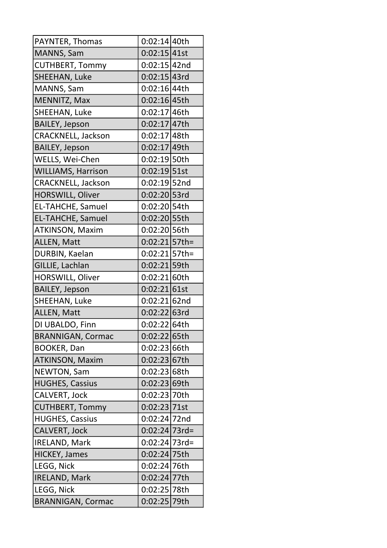| PAYNTER, Thomas           | 0:02:14 40th     |  |
|---------------------------|------------------|--|
| MANNS, Sam                | 0:02:15 41st     |  |
| <b>CUTHBERT, Tommy</b>    | $0:02:15$ 42nd   |  |
| SHEEHAN, Luke             | 0:02:15 43rd     |  |
| MANNS, Sam                | 0:02:16 44th     |  |
| MENNITZ, Max              | 0:02:16 45th     |  |
| SHEEHAN, Luke             | 0:02:17 46th     |  |
| <b>BAILEY, Jepson</b>     | $0:02:17$ 47th   |  |
| <b>CRACKNELL, Jackson</b> | $0:02:17 48$ th  |  |
| <b>BAILEY, Jepson</b>     | 0:02:17 49th     |  |
| WELLS, Wei-Chen           | 0:02:19 50th     |  |
| <b>WILLIAMS, Harrison</b> | $0:02:19$ 51st   |  |
| <b>CRACKNELL, Jackson</b> | $0:02:19$ 52nd   |  |
| HORSWILL, Oliver          | $0:02:20$ 53rd   |  |
| <b>EL-TAHCHE, Samuel</b>  | 0:02:20 54th     |  |
| EL-TAHCHE, Samuel         | 0:02:20 55th     |  |
| <b>ATKINSON, Maxim</b>    | 0:02:20 56th     |  |
| ALLEN, Matt               | $0:02:21 57$ th= |  |
| DURBIN, Kaelan            | $0:02:21 57$ th= |  |
| GILLIE, Lachlan           | $0:02:21$ 59th   |  |
| HORSWILL, Oliver          | 0:02:21 60th     |  |
| <b>BAILEY, Jepson</b>     | 0:02:21 61st     |  |
| SHEEHAN, Luke             | $0:02:21 62$ nd  |  |
| ALLEN, Matt               | $0:02:22$ 63rd   |  |
| DI UBALDO, Finn           | 0:02:22 64th     |  |
| <b>BRANNIGAN, Cormac</b>  | 0:02:22 65th     |  |
| <b>BOOKER, Dan</b>        | 0:02:23 66th     |  |
| <b>ATKINSON, Maxim</b>    | 0:02:23 67th     |  |
| NEWTON, Sam               | 0:02:23 68th     |  |
| <b>HUGHES, Cassius</b>    | 0:02:23 69th     |  |
| <b>CALVERT, Jock</b>      | 0:02:23 70th     |  |
| <b>CUTHBERT, Tommy</b>    | 0:02:23 71st     |  |
| <b>HUGHES, Cassius</b>    | $0:02:24$ 72nd   |  |
| <b>CALVERT, Jock</b>      | $0:02:24 73rd=$  |  |
| <b>IRELAND, Mark</b>      | $0:02:24$ 73rd=  |  |
| <b>HICKEY, James</b>      | 0:02:24 75th     |  |
| LEGG, Nick                | 0:02:24 76th     |  |
| <b>IRELAND, Mark</b>      | 0:02:24 77th     |  |
| LEGG, Nick                | 0:02:25 78th     |  |
| <b>BRANNIGAN, Cormac</b>  | 0:02:25 79th     |  |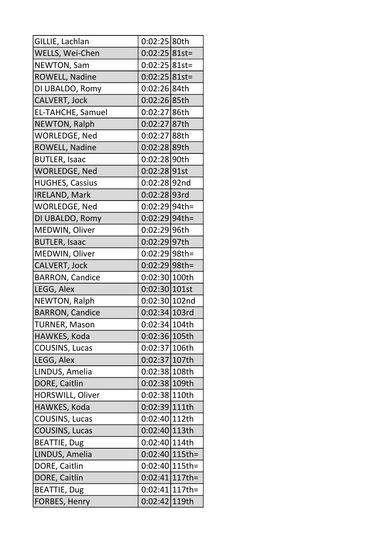| GILLIE, Lachlan          | 0:02:25 80th      |  |
|--------------------------|-------------------|--|
| WELLS, Wei-Chen          | $0:02:25 81st=$   |  |
| NEWTON, Sam              | $0:02:25 81st=$   |  |
| ROWELL, Nadine           | $0:02:25 81st=$   |  |
| DI UBALDO, Romy          | 0:02:26 84th      |  |
| CALVERT, Jock            | 0:02:26 85th      |  |
| <b>EL-TAHCHE, Samuel</b> | 0:02:27 86th      |  |
| NEWTON, Ralph            | 0:02:27 87th      |  |
| WORLEDGE, Ned            | 0:02:27 88th      |  |
| ROWELL, Nadine           | 0:02:28 89th      |  |
| <b>BUTLER, Isaac</b>     | 0:02:28 90th      |  |
| <b>WORLEDGE, Ned</b>     | 0:02:28 91st      |  |
| <b>HUGHES, Cassius</b>   | $0:02:28 92n$ d   |  |
| <b>IRELAND, Mark</b>     | $0:02:28$ 93rd    |  |
| <b>WORLEDGE, Ned</b>     | $0:02:29 94$ th=  |  |
| DI UBALDO, Romy          | $0:02:29 94$ th=  |  |
| MEDWIN, Oliver           | 0:02:29 96th      |  |
| <b>BUTLER, Isaac</b>     | 0:02:29 97th      |  |
| MEDWIN, Oliver           | $0:02:29 98$ th=  |  |
| CALVERT, Jock            | 0:02:29 98th=     |  |
| <b>BARRON, Candice</b>   | 0:02:30 100th     |  |
| LEGG, Alex               | 0:02:30 101st     |  |
| NEWTON, Ralph            | 0:02:30 102nd     |  |
| <b>BARRON, Candice</b>   | 0:02:34 103rd     |  |
| <b>TURNER, Mason</b>     | 0:02:34 104th     |  |
| HAWKES, Koda             | 0:02:36 105th     |  |
| <b>COUSINS, Lucas</b>    | 0:02:37 106th     |  |
| LEGG, Alex               | 0:02:37 107th     |  |
| LINDUS, Amelia           | 0:02:38 108th     |  |
| DORE, Caitlin            | 0:02:38 109th     |  |
| <b>HORSWILL, Oliver</b>  | 0:02:38 110th     |  |
| HAWKES, Koda             | 0:02:39 111th     |  |
| COUSINS, Lucas           | 0:02:40 112th     |  |
| <b>COUSINS, Lucas</b>    | 0:02:40 113th     |  |
| <b>BEATTIE, Dug</b>      | 0:02:40 114th     |  |
| LINDUS, Amelia           | 0:02:40 115th=    |  |
| DORE, Caitlin            | 0:02:40 115th=    |  |
| DORE, Caitlin            | $0:02:41 117$ th= |  |
| <b>BEATTIE, Dug</b>      | $0:02:41 117$ th= |  |
|                          |                   |  |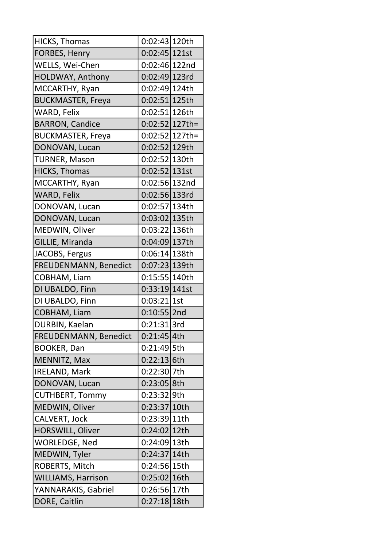| <b>HICKS, Thomas</b>      | 0:02:43 120th     |  |
|---------------------------|-------------------|--|
| FORBES, Henry             | $0:02:45 121$ st  |  |
| WELLS, Wei-Chen           | 0:02:46 122nd     |  |
| HOLDWAY, Anthony          | $0:02:49 123$ rd  |  |
| MCCARTHY, Ryan            | 0:02:49 124th     |  |
| <b>BUCKMASTER, Freya</b>  | 0:02:51 125th     |  |
| WARD, Felix               | 0:02:51 126th     |  |
| <b>BARRON, Candice</b>    | $0:02:52 127$ th= |  |
| <b>BUCKMASTER, Freya</b>  | $0:02:52 127$ th= |  |
| DONOVAN, Lucan            | 0:02:52 129th     |  |
| <b>TURNER, Mason</b>      | 0:02:52 130th     |  |
| <b>HICKS, Thomas</b>      | 0:02:52 131st     |  |
| MCCARTHY, Ryan            | 0:02:56 132nd     |  |
| WARD, Felix               | 0:02:56 133rd     |  |
| DONOVAN, Lucan            | 0:02:57 134th     |  |
| DONOVAN, Lucan            | 0:03:02 135th     |  |
| MEDWIN, Oliver            | 0:03:22 136th     |  |
| GILLIE, Miranda           | 0:04:09 137th     |  |
| JACOBS, Fergus            | 0:06:14 138th     |  |
| FREUDENMANN, Benedict     | 0:07:23 139th     |  |
| COBHAM, Liam              | 0:15:55 140th     |  |
| DI UBALDO, Finn           | 0:33:19 141st     |  |
| DI UBALDO, Finn           | 0:03:21 1st       |  |
| COBHAM, Liam              | $0:10:55$  2nd    |  |
| DURBIN, Kaelan            | $0:21:31$  3rd    |  |
| FREUDENMANN, Benedict     | 0:21:45 4th       |  |
| <b>BOOKER, Dan</b>        | 0:21:49 5th       |  |
| MENNITZ, Max              | 0:22:13 6th       |  |
| <b>IRELAND, Mark</b>      | 0:22:30 7th       |  |
| DONOVAN, Lucan            | 0:23:05 8th       |  |
| <b>CUTHBERT, Tommy</b>    | 0:23:32 9th       |  |
| MEDWIN, Oliver            | 0:23:37 10th      |  |
| CALVERT, Jock             | 0:23:39 11th      |  |
| <b>HORSWILL, Oliver</b>   | 0:24:02 12th      |  |
| <b>WORLEDGE, Ned</b>      | 0:24:09 13th      |  |
| MEDWIN, Tyler             | 0:24:37 14th      |  |
| ROBERTS, Mitch            | 0:24:56 15th      |  |
| <b>WILLIAMS, Harrison</b> | 0:25:02 16th      |  |
| YANNARAKIS, Gabriel       | 0:26:56 17th      |  |
| DORE, Caitlin             | 0:27:18 18th      |  |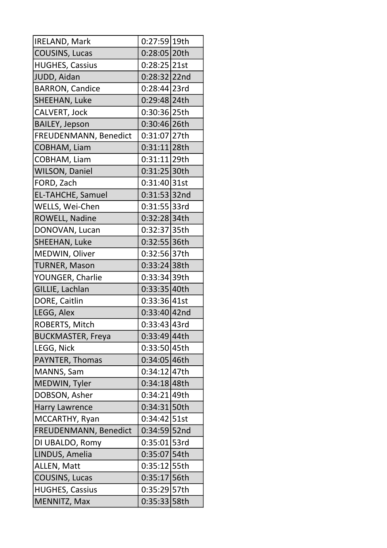| IRELAND, Mark            | 0:27:59 19th    |  |
|--------------------------|-----------------|--|
| COUSINS, Lucas           | 0:28:05 20th    |  |
| <b>HUGHES, Cassius</b>   | 0:28:25 21st    |  |
| JUDD, Aidan              | 0:28:32 22nd    |  |
| <b>BARRON, Candice</b>   | 0:28:44 23rd    |  |
| SHEEHAN, Luke            | 0:29:48 24th    |  |
| CALVERT, Jock            | 0:30:36 25th    |  |
| <b>BAILEY, Jepson</b>    | 0:30:46 26th    |  |
| FREUDENMANN, Benedict    | 0:31:07 27th    |  |
| COBHAM, Liam             | $0:31:11$  28th |  |
| COBHAM, Liam             | 0:31:11 29th    |  |
| <b>WILSON, Daniel</b>    | $0:31:25$ 30th  |  |
| FORD, Zach               | 0:31:40 31st    |  |
| <b>EL-TAHCHE, Samuel</b> | 0:31:53 32nd    |  |
| WELLS, Wei-Chen          | 0:31:55 33rd    |  |
| ROWELL, Nadine           | 0:32:28 34th    |  |
| DONOVAN, Lucan           | 0:32:37 35th    |  |
| SHEEHAN, Luke            | 0:32:55 36th    |  |
| MEDWIN, Oliver           | 0:32:56 37th    |  |
| <b>TURNER, Mason</b>     | 0:33:24 38th    |  |
| YOUNGER, Charlie         | 0:33:34 39th    |  |
| GILLIE, Lachlan          | 0:33:35 40th    |  |
| DORE, Caitlin            | 0:33:36 41st    |  |
| LEGG, Alex               | 0:33:40 42nd    |  |
| ROBERTS, Mitch           | 0:33:43 43rd    |  |
| <b>BUCKMASTER, Freya</b> | 0:33:49 44th    |  |
| LEGG, Nick               | 0:33:50 45th    |  |
| PAYNTER, Thomas          | 0:34:05 46th    |  |
| MANNS, Sam               | 0:34:12 47th    |  |
| MEDWIN, Tyler            | 0:34:18 48th    |  |
| DOBSON, Asher            | 0:34:21 49th    |  |
| <b>Harry Lawrence</b>    | 0:34:31 50th    |  |
| MCCARTHY, Ryan           | 0:34:42 51st    |  |
| FREUDENMANN, Benedict    | 0:34:59 52nd    |  |
| DI UBALDO, Romy          | $0:35:01$ 53rd  |  |
| LINDUS, Amelia           | 0:35:07 54th    |  |
| ALLEN, Matt              | 0:35:12 55th    |  |
| <b>COUSINS, Lucas</b>    | 0:35:17 56th    |  |
| <b>HUGHES, Cassius</b>   | 0:35:29 57th    |  |
| MENNITZ, Max             | 0:35:33 58th    |  |